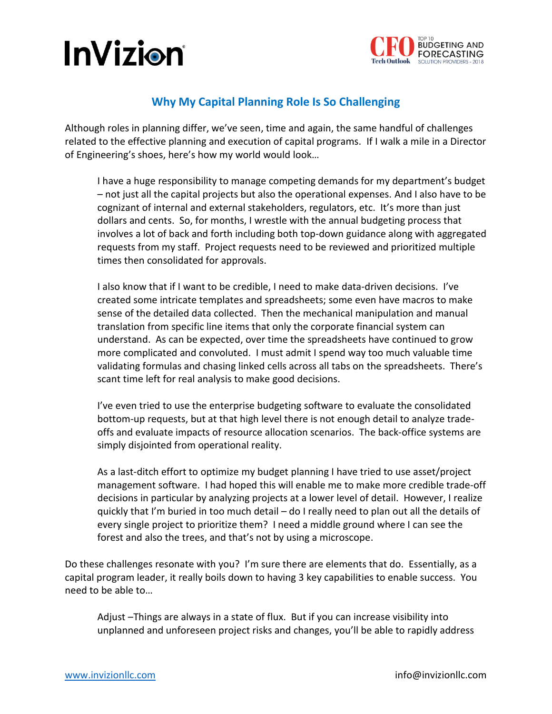## **InVizion**



## **Why My Capital Planning Role Is So Challenging**

Although roles in planning differ, we've seen, time and again, the same handful of challenges related to the effective planning and execution of capital programs. If I walk a mile in a Director of Engineering's shoes, here's how my world would look…

I have a huge responsibility to manage competing demands for my department's budget – not just all the capital projects but also the operational expenses. And I also have to be cognizant of internal and external stakeholders, regulators, etc. It's more than just dollars and cents. So, for months, I wrestle with the annual budgeting process that involves a lot of back and forth including both top-down guidance along with aggregated requests from my staff. Project requests need to be reviewed and prioritized multiple times then consolidated for approvals.

I also know that if I want to be credible, I need to make data-driven decisions. I've created some intricate templates and spreadsheets; some even have macros to make sense of the detailed data collected. Then the mechanical manipulation and manual translation from specific line items that only the corporate financial system can understand. As can be expected, over time the spreadsheets have continued to grow more complicated and convoluted. I must admit I spend way too much valuable time validating formulas and chasing linked cells across all tabs on the spreadsheets. There's scant time left for real analysis to make good decisions.

I've even tried to use the enterprise budgeting software to evaluate the consolidated bottom-up requests, but at that high level there is not enough detail to analyze tradeoffs and evaluate impacts of resource allocation scenarios. The back-office systems are simply disjointed from operational reality.

As a last-ditch effort to optimize my budget planning I have tried to use asset/project management software. I had hoped this will enable me to make more credible trade-off decisions in particular by analyzing projects at a lower level of detail. However, I realize quickly that I'm buried in too much detail – do I really need to plan out all the details of every single project to prioritize them? I need a middle ground where I can see the forest and also the trees, and that's not by using a microscope.

Do these challenges resonate with you? I'm sure there are elements that do. Essentially, as a capital program leader, it really boils down to having 3 key capabilities to enable success. You need to be able to…

Adjust –Things are always in a state of flux. But if you can increase visibility into unplanned and unforeseen project risks and changes, you'll be able to rapidly address